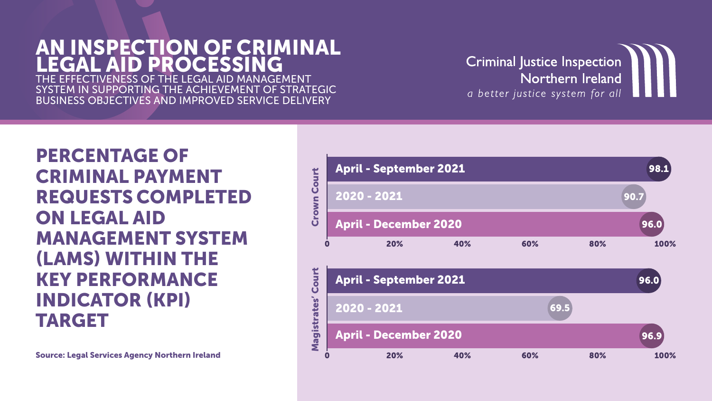#### AN INSPECTION OF CRIMINAL LEGAL AID PROCESSING THE EFFECTIVENESS OF THE LEGAL AID MANAGEMENT

SYSTEM IN SUPPORTING THE ACHIEVEMENT OF STRATEGIC BUSINESS OBJECTIVES AND IMPROVED SERVICE DELIVERY

PERCENTAGE OF CRIMINAL PAYMENT REQUESTS COMPLETED ON LEGAL AID MANAGEMENT SYSTEM (LAMS) WITHIN THE KEY PERFORMANCE INDICATOR (KPI) TARGET



# **Criminal Justice Inspection** Northern Ireland

a better justice system for all

Source: Legal Services Agency Northern Ireland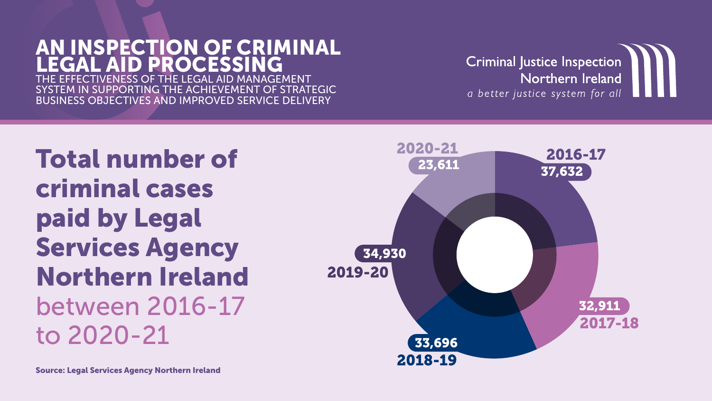#### AN INSPECTION OF CRIMINAL LEGAL AID PROCESSING THE EFFECTIVENESS OF THE LEGAL AID MANAGEMENT

IN SUPPORTING THE ACHIEVEMENT OF STRATEGIC BUSINESS OBJECTIVES AND IMPROVED SERVICE DELIVERY

Total number of criminal cases paid by Legal Services Agency Northern Ireland between 2016-17 to 2020-21





# **Criminal Justice Inspection** Northern Ireland

a better justice system for all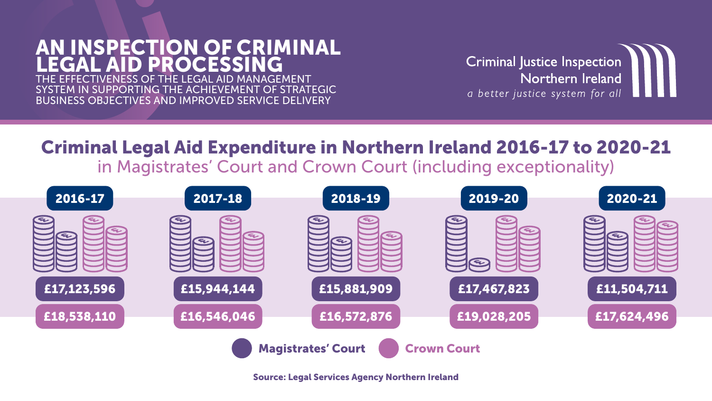# AN INSPECTION OF CRIMINAL EGAL AID PROCESSING

THE EFFECTIVENESS OF THE LEGAL AID MANAGEMENT I SUPPORTING THE ACHIEVEMENT OF STRATEGIC BUSINESS OBJECTIVES AND IMPROVED SERVICE DELIVERY

# Criminal Legal Aid Expenditure in Northern Ireland 2016-17 to 2020-21 in Magistrates' Court and Crown Court (including exceptionality)



Source: Legal Services Agency Northern Ireland

**Criminal Justice Inspection** Northern Ireland

a better justice system for all